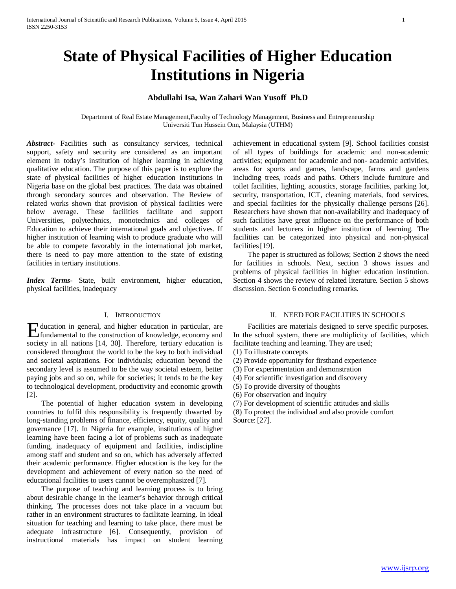# **State of Physical Facilities of Higher Education Institutions in Nigeria**

# **Abdullahi Isa, Wan Zahari Wan Yusoff Ph.D**

Department of Real Estate Management,Faculty of Technology Management, Business and Entrepreneurship Universiti Tun Hussein Onn, Malaysia (UTHM)

*Abstract***-** Facilities such as consultancy services, technical support, safety and security are considered as an important element in today's institution of higher learning in achieving qualitative education. The purpose of this paper is to explore the state of physical facilities of higher education institutions in Nigeria base on the global best practices. The data was obtained through secondary sources and observation. The Review of related works shown that provision of physical facilities were below average. These facilities facilitate and support Universities, polytechnics, monotechnics and colleges of Education to achieve their international goals and objectives. If higher institution of learning wish to produce graduate who will be able to compete favorably in the international job market, there is need to pay more attention to the state of existing facilities in tertiary institutions*.*

*Index Terms*- State, built environment, higher education, physical facilities, inadequacy

## I. INTRODUCTION

ducation in general, and higher education in particular, are **Fundamental to the construction of knowledge, economy and set of the construction** of knowledge, economy and society in all nations [14, 30]. Therefore, tertiary education is considered throughout the world to be the key to both individual and societal aspirations. For individuals; education beyond the secondary level is assumed to be the way societal esteem, better paying jobs and so on, while for societies; it tends to be the key to technological development, productivity and economic growth [2].

 The potential of higher education system in developing countries to fulfil this responsibility is frequently thwarted by long-standing problems of finance, efficiency, equity, quality and governance [17]. In Nigeria for example, institutions of higher learning have been facing a lot of problems such as inadequate funding, inadequacy of equipment and facilities, indiscipline among staff and student and so on, which has adversely affected their academic performance. Higher education is the key for the development and achievement of every nation so the need of educational facilities to users cannot be overemphasized [7].

 The purpose of teaching and learning process is to bring about desirable change in the learner's behavior through critical thinking. The processes does not take place in a vacuum but rather in an environment structures to facilitate learning. In ideal situation for teaching and learning to take place, there must be adequate infrastructure [6]. Consequently, provision of instructional materials has impact on student learning achievement in educational system [9]. School facilities consist of all types of buildings for academic and non-academic activities; equipment for academic and non- academic activities, areas for sports and games, landscape, farms and gardens including trees, roads and paths. Others include furniture and toilet facilities, lighting, acoustics, storage facilities, parking lot, security, transportation, ICT, cleaning materials, food services, and special facilities for the physically challenge persons [26]. Researchers have shown that non-availability and inadequacy of such facilities have great influence on the performance of both students and lecturers in higher institution of learning. The facilities can be categorized into physical and non-physical facilities<sup>[19]</sup>.

 The paper is structured as follows; Section 2 shows the need for facilities in schools. Next, section 3 shows issues and problems of physical facilities in higher education institution. Section 4 shows the review of related literature. Section 5 shows discussion. Section 6 concluding remarks.

## II. NEED FORFACILITIES IN SCHOOLS

 Facilities are materials designed to serve specific purposes. In the school system, there are multiplicity of facilities, which facilitate teaching and learning. They are used;

- (1) To illustrate concepts
- (2) Provide opportunity for firsthand experience
- (3) For experimentation and demonstration
- (4) For scientific investigation and discovery
- (5) To provide diversity of thoughts
- (6) For observation and inquiry

(7) For development of scientific attitudes and skills

(8) To protect the individual and also provide comfort Source: [27].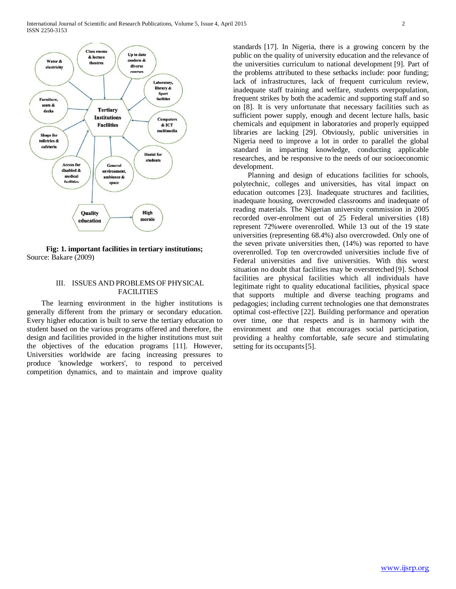

**Fig: 1. important facilities in tertiary institutions;** Source: Bakare (2009)

## III. ISSUES AND PROBLEMS OF PHYSICAL FACILITIES

 The learning environment in the higher institutions is generally different from the primary or secondary education. Every higher education is built to serve the tertiary education to student based on the various programs offered and therefore, the design and facilities provided in the higher institutions must suit the objectives of the education programs [11]. However, Universities worldwide are facing increasing pressures to produce 'knowledge workers', to respond to perceived competition dynamics, and to maintain and improve quality standards [17]. In Nigeria, there is a growing concern by the public on the quality of university education and the relevance of the universities curriculum to national development [9]. Part of the problems attributed to these setbacks include: poor funding; lack of infrastructures, lack of frequent curriculum review, inadequate staff training and welfare, students overpopulation, frequent strikes by both the academic and supporting staff and so on [8]. It is very unfortunate that necessary facilities such as sufficient power supply, enough and decent lecture halls, basic chemicals and equipment in laboratories and properly equipped libraries are lacking [29]. Obviously, public universities in Nigeria need to improve a lot in order to parallel the global standard in imparting knowledge, conducting applicable researches, and be responsive to the needs of our socioeconomic development.

 Planning and design of educations facilities for schools, polytechnic, colleges and universities, has vital impact on education outcomes [23]. Inadequate structures and facilities, inadequate housing, overcrowded classrooms and inadequate of reading materials. The Nigerian university commission in 2005 recorded over-enrolment out of 25 Federal universities (18) represent 72%were overenrolled. While 13 out of the 19 state universities (representing 68.4%) also overcrowded. Only one of the seven private universities then, (14%) was reported to have overenrolled. Top ten overcrowded universities include five of Federal universities and five universities. With this worst situation no doubt that facilities may be overstretched [9]. School facilities are physical facilities which all individuals have legitimate right to quality educational facilities, physical space that supports multiple and diverse teaching programs and pedagogies; including current technologies one that demonstrates optimal cost-effective [22]. Building performance and operation over time, one that respects and is in harmony with the environment and one that encourages social participation, providing a healthy comfortable, safe secure and stimulating setting for its occupants [5].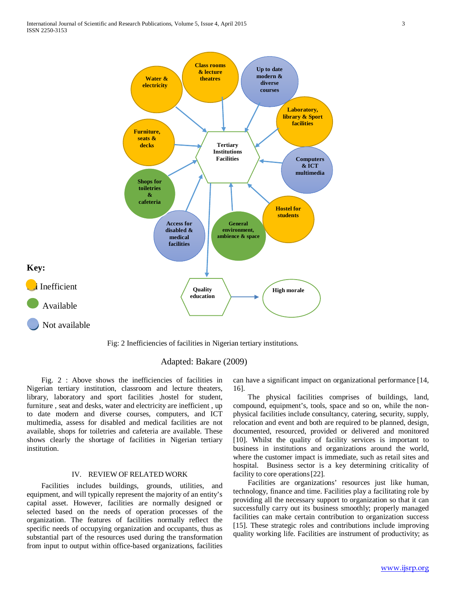

Fig: 2 Inefficiencies of facilities in Nigerian tertiary institutions.

## Adapted: Bakare (2009)

 Fig. 2 : Above shows the inefficiencies of facilities in Nigerian tertiary institution, classroom and lecture theaters, library, laboratory and sport facilities ,hostel for student, furniture , seat and desks, water and electricity are inefficient , up to date modern and diverse courses, computers, and ICT multimedia, assess for disabled and medical facilities are not available, shops for toiletries and cafeteria are available. These shows clearly the shortage of facilities in Nigerian tertiary institution.

# IV. REVIEW OF RELATED WORK

 Facilities includes buildings, grounds, utilities, and equipment, and will typically represent the majority of an entity's capital asset. However, facilities are normally designed or selected based on the needs of operation processes of the organization. The features of facilities normally reflect the specific needs of occupying organization and occupants, thus as substantial part of the resources used during the transformation from input to output within office-based organizations, facilities

can have a significant impact on organizational performance [14, 16].

 The physical facilities comprises of buildings, land, compound, equipment's, tools, space and so on, while the nonphysical facilities include consultancy, catering, security, supply, relocation and event and both are required to be planned, design, documented, resourced, provided or delivered and monitored [10]. Whilst the quality of facility services is important to business in institutions and organizations around the world, where the customer impact is immediate, such as retail sites and hospital. Business sector is a key determining criticality of facility to core operations[22].

 Facilities are organizations' resources just like human, technology, finance and time. Facilities play a facilitating role by providing all the necessary support to organization so that it can successfully carry out its business smoothly; properly managed facilities can make certain contribution to organization success [15]. These strategic roles and contributions include improving quality working life. Facilities are instrument of productivity; as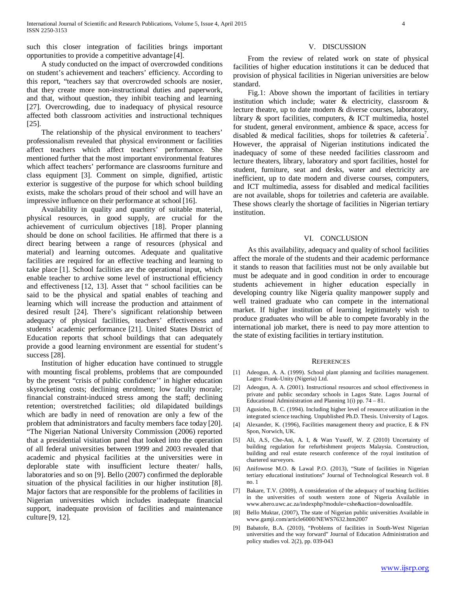such this closer integration of facilities brings important opportunities to provide a competitive advantage [4].

### V. DISCUSSION

 From the review of related work on state of physical facilities of higher education institutions it can be deduced that provision of physical facilities in Nigerian universities are below standard.

 Fig.1: Above shown the important of facilities in tertiary institution which include; water & electricity, classroom & lecture theatre, up to date modern & diverse courses, laboratory, library & sport facilities, computers, & ICT multimedia, hostel for student, general environment, ambience & space, access for disabled & medical facilities, shops for toiletries & cafeteria<sup>7</sup>. However, the appraisal of Nigerian institutions indicated the inadequacy of some of these needed facilities classroom and lecture theaters, library, laboratory and sport facilities, hostel for student, furniture, seat and desks, water and electricity are inefficient, up to date modern and diverse courses, computers, and ICT multimedia, assess for disabled and medical facilities are not available, shops for toiletries and cafeteria are available. These shows clearly the shortage of facilities in Nigerian tertiary institution.

### VI. CONCLUSION

 As this availability, adequacy and quality of school facilities affect the morale of the students and their academic performance it stands to reason that facilities must not be only available but must be adequate and in good condition in order to encourage students achievement in higher education especially in developing country like Nigeria quality manpower supply and well trained graduate who can compete in the international market. If higher institution of learning legitimately wish to produce graduates who will be able to compete favorably in the international job market, there is need to pay more attention to the state of existing facilities in tertiary institution.

#### **REFERENCES**

- [1] Adeogun, A. A. (1999). School plant planning and facilities management. Lagos: Frank-Unity (Nigeria) Ltd.
- [2] Adeogun, A. A. (2001). Instructional resources and school effectiveness in private and public secondary schools in Lagos State. Lagos Journal of Educational Administration and Planning 1(i) pp. 74 – 81.
- [3] Agusiobo, B. C. (1994). Including higher level of resource utilization in the integrated science teaching. Unpublished Ph.D. Thesis. University of Lagos.
- [4] Alexander, K. (1996), Facilities management theory and practice, E & FN Spon, Norwich, UK.
- [5] Ali, A.S, Che-Ani, A. I, & Wan Yusoff, W. Z (2010) Uncertainty of building regulation for refurbishment projects Malaysia. Construction, building and real estate research conference of the royal institution of chartered surveyors.
- Anifowose M.O. & Lawal P.O. (2013), "State of facilities in Nigerian tertiary educational institutions" Journal of Technological Research vol. 8 no. 1
- [7] Bakare, T.V. (2009), A consideration of the adequacy of teaching facilities in the universities of south western zone of Nigeria Available in www.ahero.uwc.ac.za/indexphp?module=cshe&action=downloadfile.
- [8] Bello Muktar, (2007), The state of Nigerian public universities Available in www.gamji.com/article6000/NEWS7632.htm2007
- [9] Babatofe, B.A. (2010), "Problems of facilities in South-West Nigerian universities and the way forward" Journal of Education Administration and policy studies vol. 2(2), pp. 039-043

 A study conducted on the impact of overcrowded conditions on student's achievement and teachers' efficiency. According to this report, "teachers say that overcrowded schools are nosier, that they create more non-instructional duties and paperwork, and that, without question, they inhibit teaching and learning [27]. Overcrowding, due to inadequacy of physical resource affected both classroom activities and instructional techniques [25].

 The relationship of the physical environment to teachers' professionalism revealed that physical environment or facilities affect teachers which affect teachers' performance. She mentioned further that the most important environmental features which affect teachers' performance are classrooms furniture and class equipment [3]. Comment on simple, dignified, artistic exterior is suggestive of the purpose for which school building exists, make the scholars proud of their school and will have an impressive influence on their performance at school [16].

 Availability in quality and quantity of suitable material, physical resources, in good supply, are crucial for the achievement of curriculum objectives [18]. Proper planning should be done on school facilities. He affirmed that there is a direct bearing between a range of resources (physical and material) and learning outcomes. Adequate and qualitative facilities are required for an effective teaching and learning to take place [1]. School facilities are the operational input, which enable teacher to archive some level of instructional efficiency and effectiveness [12, 13]. Asset that " school facilities can be said to be the physical and spatial enables of teaching and learning which will increase the production and attainment of desired result [24]. There's significant relationship between adequacy of physical facilities, teachers' effectiveness and students' academic performance [21]. United States District of Education reports that school buildings that can adequately provide a good learning environment are essential for student's success [28].

 Institution of higher education have continued to struggle with mounting fiscal problems, problems that are compounded by the present "crisis of public confidence'' in higher education skyrocketing costs; declining enrolment; low faculty morale; financial constraint-induced stress among the staff; declining retention; overstretched facilities; old dilapidated buildings which are badly in need of renovation are only a few of the problem that administrators and faculty members face today [20]. "The Nigerian National University Commission (2006) reported that a presidential visitation panel that looked into the operation of all federal universities between 1999 and 2003 revealed that academic and physical facilities at the universities were in deplorable state with insufficient lecture theater/ halls, laboratories and so on [9]. Bello (2007) confirmed the deplorable situation of the physical facilities in our higher institution [8]. Major factors that are responsible for the problems of facilities in Nigerian universities which includes inadequate financial support, inadequate provision of facilities and maintenance culture [9, 12].